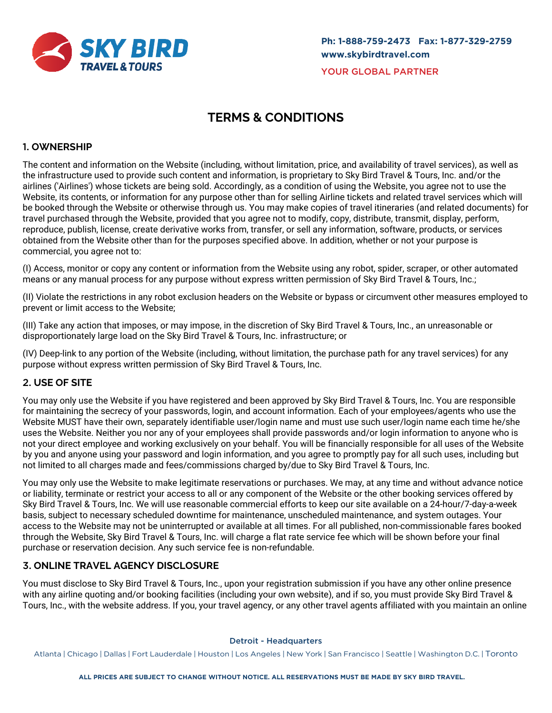

# **TERMS & CONDITIONS**

# 1. **OWNERSHIP**

The content and information on the Website (including, without limitation, price, and availability of travel services), as well as the infrastructure used to provide such content and information, is proprietary to Sky Bird Travel & Tours, Inc. and/or the airlines ('Airlines') whose tickets are being sold. Accordingly, as a condition of using the Website, you agree not to use the Website, its contents, or information for any purpose other than for selling Airline tickets and related travel services which will be booked through the Website or otherwise through us. You may make copies of travel itineraries (and related documents) for travel purchased through the Website, provided that you agree not to modify, copy, distribute, transmit, display, perform, reproduce, publish, license, create derivative works from, transfer, or sell any information, software, products, or services obtained from the Website other than for the purposes specified above. In addition, whether or not your purpose is commercial, you agree not to:

(I) Access, monitor or copy any content or information from the Website using any robot, spider, scraper, or other automated means or any manual process for any purpose without express written permission of Sky Bird Travel & Tours, Inc.;

(II) Violate the restrictions in any robot exclusion headers on the Website or bypass or circumvent other measures employed to prevent or limit access to the Website;

(III) Take any action that imposes, or may impose, in the discretion of Sky Bird Travel & Tours, Inc., an unreasonable or disproportionately large load on the Sky Bird Travel & Tours, Inc. infrastructure; or

(IV) Deep-link to any portion of the Website (including, without limitation, the purchase path for any travel services) for any purpose without express written permission of Sky Bird Travel & Tours, Inc.

# 2. **USE OF SITE**

You may only use the Website if you have registered and been approved by Sky Bird Travel & Tours, Inc. You are responsible for maintaining the secrecy of your passwords, login, and account information. Each of your employees/agents who use the Website MUST have their own, separately identifiable user/login name and must use such user/login name each time he/she uses the Website. Neither you nor any of your employees shall provide passwords and/or login information to anyone who is not your direct employee and working exclusively on your behalf. You will be financially responsible for all uses of the Website by you and anyone using your password and login information, and you agree to promptly pay for all such uses, including but not limited to all charges made and fees/commissions charged by/due to Sky Bird Travel & Tours, Inc.

You may only use the Website to make legitimate reservations or purchases. We may, at any time and without advance notice or liability, terminate or restrict your access to all or any component of the Website or the other booking services offered by Sky Bird Travel & Tours, Inc. We will use reasonable commercial efforts to keep our site available on a 24-hour/7-day-a-week basis, subject to necessary scheduled downtime for maintenance, unscheduled maintenance, and system outages. Your access to the Website may not be uninterrupted or available at all times. For all published, non-commissionable fares booked through the Website, Sky Bird Travel & Tours, Inc. will charge a flat rate service fee which will be shown before your final purchase or reservation decision. Any such service fee is non-refundable.

# 3. **ONLINE TRAVEL AGENCY DISCLOSURE**

You must disclose to Sky Bird Travel & Tours, Inc., upon your registration submission if you have any other online presence with any airline quoting and/or booking facilities (including your own website), and if so, you must provide Sky Bird Travel & Tours, Inc., with the website address. If you, your travel agency, or any other travel agents affiliated with you maintain an online

#### Detroit - Headquarters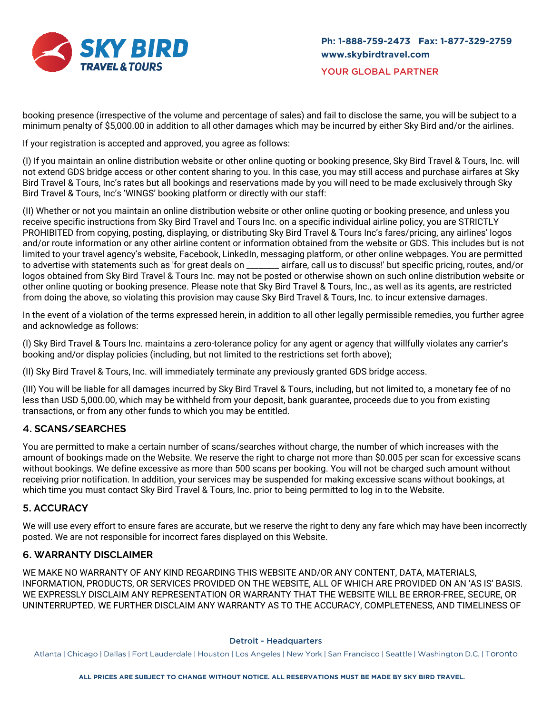

booking presence (irrespective of the volume and percentage of sales) and fail to disclose the same, you will be subject to a minimum penalty of \$5,000.00 in addition to all other damages which may be incurred by either Sky Bird and/or the airlines.

If your registration is accepted and approved, you agree as follows:

(I) If you maintain an online distribution website or other online quoting or booking presence, Sky Bird Travel & Tours, Inc. will not extend GDS bridge access or other content sharing to you. In this case, you may still access and purchase airfares at Sky Bird Travel & Tours, Inc's rates but all bookings and reservations made by you will need to be made exclusively through Sky Bird Travel & Tours, Inc's 'WINGS' booking platform or directly with our staff:

(II) Whether or not you maintain an online distribution website or other online quoting or booking presence, and unless you receive specific instructions from Sky Bird Travel and Tours Inc. on a specific individual airline policy, you are STRICTLY PROHIBITED from copying, posting, displaying, or distributing Sky Bird Travel & Tours Inc's fares/pricing, any airlines' logos and/or route information or any other airline content or information obtained from the website or GDS. This includes but is not limited to your travel agency's website, Facebook, LinkedIn, messaging platform, or other online webpages. You are permitted to advertise with statements such as 'for great deals on \_\_\_\_\_\_\_\_ airfare, call us to discuss!' but specific pricing, routes, and/or logos obtained from Sky Bird Travel & Tours Inc. may not be posted or otherwise shown on such online distribution website or other online quoting or booking presence. Please note that Sky Bird Travel & Tours, Inc., as well as its agents, are restricted from doing the above, so violating this provision may cause Sky Bird Travel & Tours, Inc. to incur extensive damages.

In the event of a violation of the terms expressed herein, in addition to all other legally permissible remedies, you further agree and acknowledge as follows:

(I) Sky Bird Travel & Tours Inc. maintains a zero-tolerance policy for any agent or agency that willfully violates any carrier's booking and/or display policies (including, but not limited to the restrictions set forth above);

(II) Sky Bird Travel & Tours, Inc. will immediately terminate any previously granted GDS bridge access.

(III) You will be liable for all damages incurred by Sky Bird Travel & Tours, including, but not limited to, a monetary fee of no less than USD 5,000.00, which may be withheld from your deposit, bank guarantee, proceeds due to you from existing transactions, or from any other funds to which you may be entitled.

# 4. **SCANS/SEARCHES**

You are permitted to make a certain number of scans/searches without charge, the number of which increases with the amount of bookings made on the Website. We reserve the right to charge not more than \$0.005 per scan for excessive scans without bookings. We define excessive as more than 500 scans per booking. You will not be charged such amount without receiving prior notification. In addition, your services may be suspended for making excessive scans without bookings, at which time you must contact Sky Bird Travel & Tours, Inc. prior to being permitted to log in to the Website.

## 5. **ACCURACY**

We will use every effort to ensure fares are accurate, but we reserve the right to deny any fare which may have been incorrectly posted. We are not responsible for incorrect fares displayed on this Website.

## 6. **WARRANTY DISCLAIMER**

WE MAKE NO WARRANTY OF ANY KIND REGARDING THIS WEBSITE AND/OR ANY CONTENT, DATA, MATERIALS, INFORMATION, PRODUCTS, OR SERVICES PROVIDED ON THE WEBSITE, ALL OF WHICH ARE PROVIDED ON AN 'AS IS' BASIS. WE EXPRESSLY DISCLAIM ANY REPRESENTATION OR WARRANTY THAT THE WEBSITE WILL BE ERROR-FREE, SECURE, OR UNINTERRUPTED. WE FURTHER DISCLAIM ANY WARRANTY AS TO THE ACCURACY, COMPLETENESS, AND TIMELINESS OF

#### Detroit - Headquarters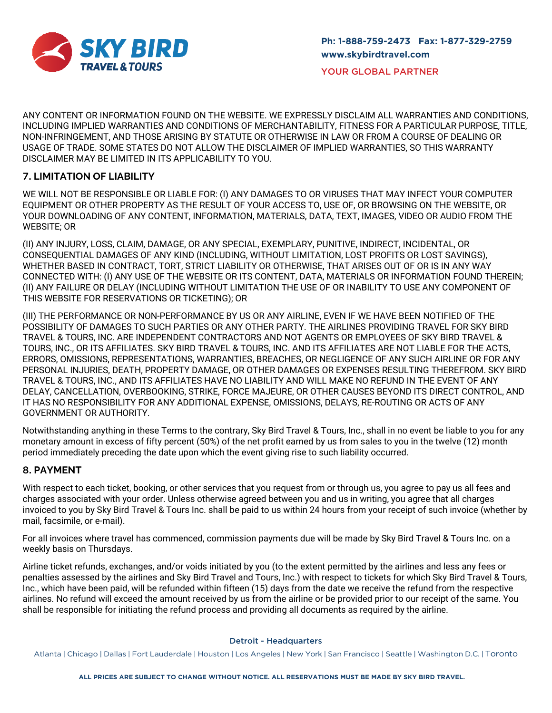

ANY CONTENT OR INFORMATION FOUND ON THE WEBSITE. WE EXPRESSLY DISCLAIM ALL WARRANTIES AND CONDITIONS, INCLUDING IMPLIED WARRANTIES AND CONDITIONS OF MERCHANTABILITY, FITNESS FOR A PARTICULAR PURPOSE, TITLE, NON-INFRINGEMENT, AND THOSE ARISING BY STATUTE OR OTHERWISE IN LAW OR FROM A COURSE OF DEALING OR USAGE OF TRADE. SOME STATES DO NOT ALLOW THE DISCLAIMER OF IMPLIED WARRANTIES, SO THIS WARRANTY DISCLAIMER MAY BE LIMITED IN ITS APPLICABILITY TO YOU.

# 7. **LIMITATION OF LIABILITY**

WE WILL NOT BE RESPONSIBLE OR LIABLE FOR: (I) ANY DAMAGES TO OR VIRUSES THAT MAY INFECT YOUR COMPUTER EQUIPMENT OR OTHER PROPERTY AS THE RESULT OF YOUR ACCESS TO, USE OF, OR BROWSING ON THE WEBSITE, OR YOUR DOWNLOADING OF ANY CONTENT, INFORMATION, MATERIALS, DATA, TEXT, IMAGES, VIDEO OR AUDIO FROM THE WEBSITE; OR

(II) ANY INJURY, LOSS, CLAIM, DAMAGE, OR ANY SPECIAL, EXEMPLARY, PUNITIVE, INDIRECT, INCIDENTAL, OR CONSEQUENTIAL DAMAGES OF ANY KIND (INCLUDING, WITHOUT LIMITATION, LOST PROFITS OR LOST SAVINGS), WHETHER BASED IN CONTRACT, TORT, STRICT LIABILITY OR OTHERWISE, THAT ARISES OUT OF OR IS IN ANY WAY CONNECTED WITH: (I) ANY USE OF THE WEBSITE OR ITS CONTENT, DATA, MATERIALS OR INFORMATION FOUND THEREIN; (II) ANY FAILURE OR DELAY (INCLUDING WITHOUT LIMITATION THE USE OF OR INABILITY TO USE ANY COMPONENT OF THIS WEBSITE FOR RESERVATIONS OR TICKETING); OR

(III) THE PERFORMANCE OR NON-PERFORMANCE BY US OR ANY AIRLINE, EVEN IF WE HAVE BEEN NOTIFIED OF THE POSSIBILITY OF DAMAGES TO SUCH PARTIES OR ANY OTHER PARTY. THE AIRLINES PROVIDING TRAVEL FOR SKY BIRD TRAVEL & TOURS, INC. ARE INDEPENDENT CONTRACTORS AND NOT AGENTS OR EMPLOYEES OF SKY BIRD TRAVEL & TOURS, INC., OR ITS AFFILIATES. SKY BIRD TRAVEL & TOURS, INC. AND ITS AFFILIATES ARE NOT LIABLE FOR THE ACTS, ERRORS, OMISSIONS, REPRESENTATIONS, WARRANTIES, BREACHES, OR NEGLIGENCE OF ANY SUCH AIRLINE OR FOR ANY PERSONAL INJURIES, DEATH, PROPERTY DAMAGE, OR OTHER DAMAGES OR EXPENSES RESULTING THEREFROM. SKY BIRD TRAVEL & TOURS, INC., AND ITS AFFILIATES HAVE NO LIABILITY AND WILL MAKE NO REFUND IN THE EVENT OF ANY DELAY, CANCELLATION, OVERBOOKING, STRIKE, FORCE MAJEURE, OR OTHER CAUSES BEYOND ITS DIRECT CONTROL, AND IT HAS NO RESPONSIBILITY FOR ANY ADDITIONAL EXPENSE, OMISSIONS, DELAYS, RE-ROUTING OR ACTS OF ANY GOVERNMENT OR AUTHORITY.

Notwithstanding anything in these Terms to the contrary, Sky Bird Travel & Tours, Inc., shall in no event be liable to you for any monetary amount in excess of fifty percent (50%) of the net profit earned by us from sales to you in the twelve (12) month period immediately preceding the date upon which the event giving rise to such liability occurred.

## 8. **PAYMENT**

With respect to each ticket, booking, or other services that you request from or through us, you agree to pay us all fees and charges associated with your order. Unless otherwise agreed between you and us in writing, you agree that all charges invoiced to you by Sky Bird Travel & Tours Inc. shall be paid to us within 24 hours from your receipt of such invoice (whether by mail, facsimile, or e-mail).

For all invoices where travel has commenced, commission payments due will be made by Sky Bird Travel & Tours Inc. on a weekly basis on Thursdays.

Airline ticket refunds, exchanges, and/or voids initiated by you (to the extent permitted by the airlines and less any fees or penalties assessed by the airlines and Sky Bird Travel and Tours, Inc.) with respect to tickets for which Sky Bird Travel & Tours, Inc., which have been paid, will be refunded within fifteen (15) days from the date we receive the refund from the respective airlines. No refund will exceed the amount received by us from the airline or be provided prior to our receipt of the same. You shall be responsible for initiating the refund process and providing all documents as required by the airline.

#### Detroit - Headquarters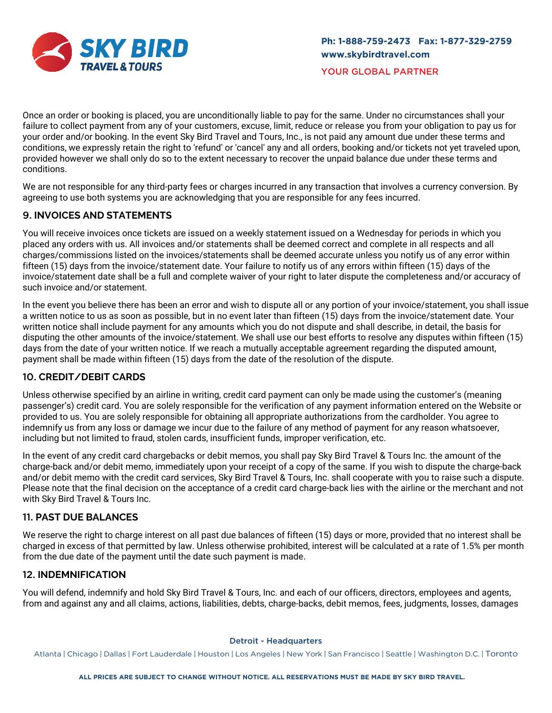

Once an order or booking is placed, you are unconditionally liable to pay for the same. Under no circumstances shall your failure to collect payment from any of your customers, excuse, limit, reduce or release you from your obligation to pay us for your order and/or booking. In the event Sky Bird Travel and Tours, Inc., is not paid any amount due under these terms and conditions, we expressly retain the right to 'refund' or 'cancel' any and all orders, booking and/or tickets not yet traveled upon, provided however we shall only do so to the extent necessary to recover the unpaid balance due under these terms and conditions.

We are not responsible for any third-party fees or charges incurred in any transaction that involves a currency conversion. By agreeing to use both systems you are acknowledging that you are responsible for any fees incurred.

# 9. **INVOICES AND STATEMENTS**

You will receive invoices once tickets are issued on a weekly statement issued on a Wednesday for periods in which you placed any orders with us. All invoices and/or statements shall be deemed correct and complete in all respects and all charges/commissions listed on the invoices/statements shall be deemed accurate unless you notify us of any error within fifteen (15) days from the invoice/statement date. Your failure to notify us of any errors within fifteen (15) days of the invoice/statement date shall be a full and complete waiver of your right to later dispute the completeness and/or accuracy of such invoice and/or statement.

In the event you believe there has been an error and wish to dispute all or any portion of your invoice/statement, you shall issue a written notice to us as soon as possible, but in no event later than fifteen (15) days from the invoice/statement date. Your written notice shall include payment for any amounts which you do not dispute and shall describe, in detail, the basis for disputing the other amounts of the invoice/statement. We shall use our best efforts to resolve any disputes within fifteen (15) days from the date of your written notice. If we reach a mutually acceptable agreement regarding the disputed amount, payment shall be made within fifteen (15) days from the date of the resolution of the dispute.

## 10. **CREDIT/DEBIT CARDS**

Unless otherwise specified by an airline in writing, credit card payment can only be made using the customer's (meaning passenger's) credit card. You are solely responsible for the verification of any payment information entered on the Website or provided to us. You are solely responsible for obtaining all appropriate authorizations from the cardholder. You agree to indemnify us from any loss or damage we incur due to the failure of any method of payment for any reason whatsoever, including but not limited to fraud, stolen cards, insufficient funds, improper verification, etc.

In the event of any credit card chargebacks or debit memos, you shall pay Sky Bird Travel & Tours Inc. the amount of the charge-back and/or debit memo, immediately upon your receipt of a copy of the same. If you wish to dispute the charge-back and/or debit memo with the credit card services, Sky Bird Travel & Tours, Inc. shall cooperate with you to raise such a dispute. Please note that the final decision on the acceptance of a credit card charge-back lies with the airline or the merchant and not with Sky Bird Travel & Tours Inc.

## 11. **PAST DUE BALANCES**

We reserve the right to charge interest on all past due balances of fifteen (15) days or more, provided that no interest shall be charged in excess of that permitted by law. Unless otherwise prohibited, interest will be calculated at a rate of 1.5% per month from the due date of the payment until the date such payment is made.

# 12. **INDEMNIFICATION**

You will defend, indemnify and hold Sky Bird Travel & Tours, Inc. and each of our officers, directors, employees and agents, from and against any and all claims, actions, liabilities, debts, charge-backs, debit memos, fees, judgments, losses, damages

#### Detroit - Headquarters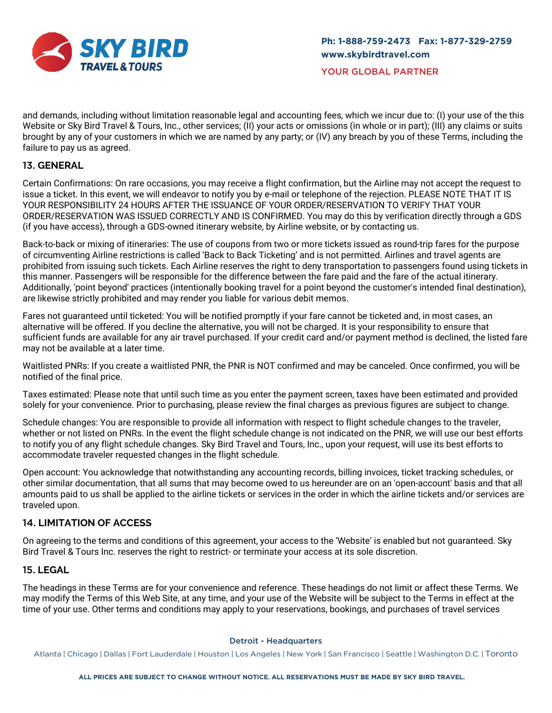

and demands, including without limitation reasonable legal and accounting fees, which we incur due to: (I) your use of the this Website or Sky Bird Travel & Tours, Inc., other services; (II) your acts or omissions (in whole or in part); (III) any claims or suits brought by any of your customers in which we are named by any party; or (IV) any breach by you of these Terms, including the failure to pay us as agreed.

# 13. **GENERAL**

Certain Confirmations: On rare occasions, you may receive a flight confirmation, but the Airline may not accept the request to issue a ticket. In this event, we will endeavor to notify you by e-mail or telephone of the rejection. PLEASE NOTE THAT IT IS YOUR RESPONSIBILITY 24 HOURS AFTER THE ISSUANCE OF YOUR ORDER/RESERVATION TO VERIFY THAT YOUR ORDER/RESERVATION WAS ISSUED CORRECTLY AND IS CONFIRMED. You may do this by verification directly through a GDS (if you have access), through a GDS-owned itinerary website, by Airline website, or by contacting us.

Back-to-back or mixing of itineraries: The use of coupons from two or more tickets issued as round-trip fares for the purpose of circumventing Airline restrictions is called 'Back to Back Ticketing' and is not permitted. Airlines and travel agents are prohibited from issuing such tickets. Each Airline reserves the right to deny transportation to passengers found using tickets in this manner. Passengers will be responsible for the difference between the fare paid and the fare of the actual itinerary. Additionally, 'point beyond' practices (intentionally booking travel for a point beyond the customer's intended final destination), are likewise strictly prohibited and may render you liable for various debit memos.

Fares not guaranteed until ticketed: You will be notified promptly if your fare cannot be ticketed and, in most cases, an alternative will be offered. If you decline the alternative, you will not be charged. It is your responsibility to ensure that sufficient funds are available for any air travel purchased. If your credit card and/or payment method is declined, the listed fare may not be available at a later time.

Waitlisted PNRs: If you create a waitlisted PNR, the PNR is NOT confirmed and may be canceled. Once confirmed, you will be notified of the final price.

Taxes estimated: Please note that until such time as you enter the payment screen, taxes have been estimated and provided solely for your convenience. Prior to purchasing, please review the final charges as previous figures are subject to change.

Schedule changes: You are responsible to provide all information with respect to flight schedule changes to the traveler, whether or not listed on PNRs. In the event the flight schedule change is not indicated on the PNR, we will use our best efforts to notify you of any flight schedule changes. Sky Bird Travel and Tours, Inc., upon your request, will use its best efforts to accommodate traveler requested changes in the flight schedule.

Open account: You acknowledge that notwithstanding any accounting records, billing invoices, ticket tracking schedules, or other similar documentation, that all sums that may become owed to us hereunder are on an 'open-account' basis and that all amounts paid to us shall be applied to the airline tickets or services in the order in which the airline tickets and/or services are traveled upon.

## 14. **LIMITATION OF ACCESS**

On agreeing to the terms and conditions of this agreement, your access to the 'Website' is enabled but not guaranteed. Sky Bird Travel & Tours Inc. reserves the right to restrict- or terminate your access at its sole discretion.

## 15. **LEGAL**

The headings in these Terms are for your convenience and reference. These headings do not limit or affect these Terms. We may modify the Terms of this Web Site, at any time, and your use of the Website will be subject to the Terms in effect at the time of your use. Other terms and conditions may apply to your reservations, bookings, and purchases of travel services

#### Detroit - Headquarters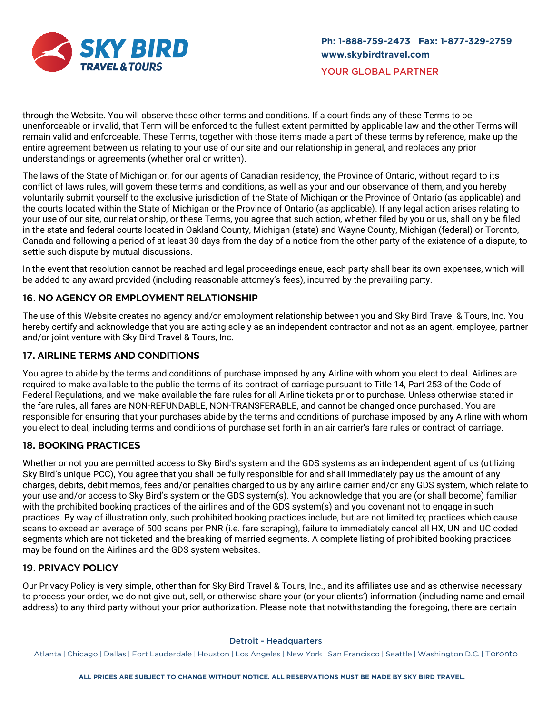

through the Website. You will observe these other terms and conditions. If a court finds any of these Terms to be unenforceable or invalid, that Term will be enforced to the fullest extent permitted by applicable law and the other Terms will remain valid and enforceable. These Terms, together with those items made a part of these terms by reference, make up the entire agreement between us relating to your use of our site and our relationship in general, and replaces any prior understandings or agreements (whether oral or written).

The laws of the State of Michigan or, for our agents of Canadian residency, the Province of Ontario, without regard to its conflict of laws rules, will govern these terms and conditions, as well as your and our observance of them, and you hereby voluntarily submit yourself to the exclusive jurisdiction of the State of Michigan or the Province of Ontario (as applicable) and the courts located within the State of Michigan or the Province of Ontario (as applicable). If any legal action arises relating to your use of our site, our relationship, or these Terms, you agree that such action, whether filed by you or us, shall only be filed in the state and federal courts located in Oakland County, Michigan (state) and Wayne County, Michigan (federal) or Toronto, Canada and following a period of at least 30 days from the day of a notice from the other party of the existence of a dispute, to settle such dispute by mutual discussions.

In the event that resolution cannot be reached and legal proceedings ensue, each party shall bear its own expenses, which will be added to any award provided (including reasonable attorney's fees), incurred by the prevailing party.

# 16. **NO AGENCY OR EMPLOYMENT RELATIONSHIP**

The use of this Website creates no agency and/or employment relationship between you and Sky Bird Travel & Tours, Inc. You hereby certify and acknowledge that you are acting solely as an independent contractor and not as an agent, employee, partner and/or joint venture with Sky Bird Travel & Tours, Inc.

# 17. **AIRLINE TERMS AND CONDITIONS**

You agree to abide by the terms and conditions of purchase imposed by any Airline with whom you elect to deal. Airlines are required to make available to the public the terms of its contract of carriage pursuant to Title 14, Part 253 of the Code of Federal Regulations, and we make available the fare rules for all Airline tickets prior to purchase. Unless otherwise stated in the fare rules, all fares are NON-REFUNDABLE, NON-TRANSFERABLE, and cannot be changed once purchased. You are responsible for ensuring that your purchases abide by the terms and conditions of purchase imposed by any Airline with whom you elect to deal, including terms and conditions of purchase set forth in an air carrier's fare rules or contract of carriage.

# 18. **BOOKING PRACTICES**

Whether or not you are permitted access to Sky Bird's system and the GDS systems as an independent agent of us (utilizing Sky Bird's unique PCC), You agree that you shall be fully responsible for and shall immediately pay us the amount of any charges, debits, debit memos, fees and/or penalties charged to us by any airline carrier and/or any GDS system, which relate to your use and/or access to Sky Bird's system or the GDS system(s). You acknowledge that you are (or shall become) familiar with the prohibited booking practices of the airlines and of the GDS system(s) and you covenant not to engage in such practices. By way of illustration only, such prohibited booking practices include, but are not limited to; practices which cause scans to exceed an average of 500 scans per PNR (i.e. fare scraping), failure to immediately cancel all HX, UN and UC coded segments which are not ticketed and the breaking of married segments. A complete listing of prohibited booking practices may be found on the Airlines and the GDS system websites.

# 19. **PRIVACY POLICY**

Our Privacy Policy is very simple, other than for Sky Bird Travel & Tours, Inc., and its affiliates use and as otherwise necessary to process your order, we do not give out, sell, or otherwise share your (or your clients') information (including name and email address) to any third party without your prior authorization. Please note that notwithstanding the foregoing, there are certain

#### Detroit - Headquarters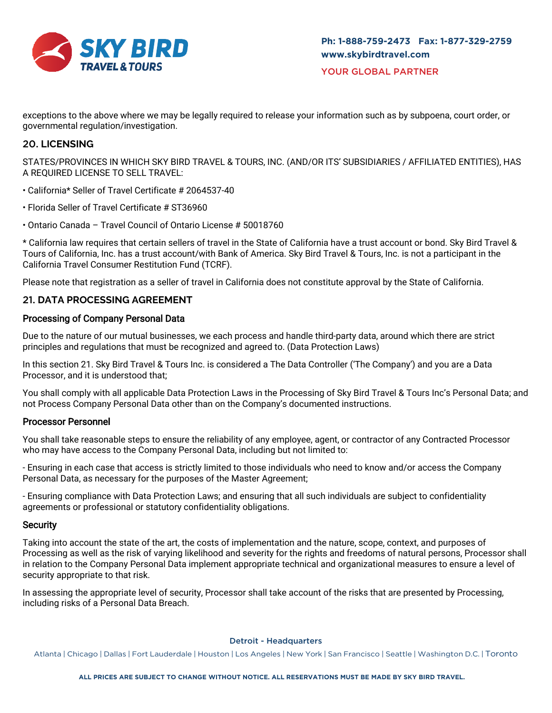

exceptions to the above where we may be legally required to release your information such as by subpoena, court order, or governmental regulation/investigation.

# 20. **LICENSING**

STATES/PROVINCES IN WHICH SKY BIRD TRAVEL & TOURS, INC. (AND/OR ITS' SUBSIDIARIES / AFFILIATED ENTITIES), HAS A REQUIRED LICENSE TO SELL TRAVEL:

- California\* Seller of Travel Certificate # 2064537-40
- Florida Seller of Travel Certificate # ST36960
- Ontario Canada Travel Council of Ontario License # 50018760

\* California law requires that certain sellers of travel in the State of California have a trust account or bond. Sky Bird Travel & Tours of California, Inc. has a trust account/with Bank of America. Sky Bird Travel & Tours, Inc. is not a participant in the California Travel Consumer Restitution Fund (TCRF).

Please note that registration as a seller of travel in California does not constitute approval by the State of California.

# 21. **DATA PROCESSING AGREEMENT**

## Processing of Company Personal Data

Due to the nature of our mutual businesses, we each process and handle third-party data, around which there are strict principles and regulations that must be recognized and agreed to. (Data Protection Laws)

In this section 21. Sky Bird Travel & Tours Inc. is considered a The Data Controller ('The Company') and you are a Data Processor, and it is understood that;

You shall comply with all applicable Data Protection Laws in the Processing of Sky Bird Travel & Tours Inc's Personal Data; and not Process Company Personal Data other than on the Company's documented instructions.

## Processor Personnel

You shall take reasonable steps to ensure the reliability of any employee, agent, or contractor of any Contracted Processor who may have access to the Company Personal Data, including but not limited to:

- Ensuring in each case that access is strictly limited to those individuals who need to know and/or access the Company Personal Data, as necessary for the purposes of the Master Agreement;

- Ensuring compliance with Data Protection Laws; and ensuring that all such individuals are subject to confidentiality agreements or professional or statutory confidentiality obligations.

#### **Security**

Taking into account the state of the art, the costs of implementation and the nature, scope, context, and purposes of Processing as well as the risk of varying likelihood and severity for the rights and freedoms of natural persons, Processor shall in relation to the Company Personal Data implement appropriate technical and organizational measures to ensure a level of security appropriate to that risk.

In assessing the appropriate level of security, Processor shall take account of the risks that are presented by Processing, including risks of a Personal Data Breach.

#### Detroit - Headquarters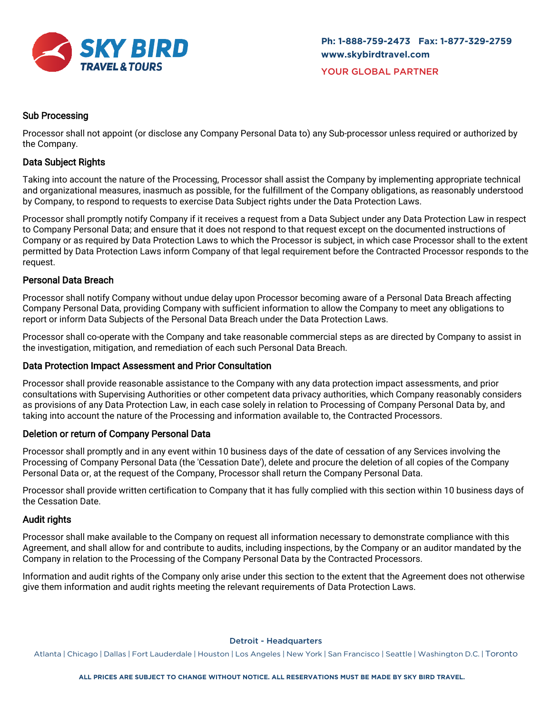

## Sub Processing

Processor shall not appoint (or disclose any Company Personal Data to) any Sub-processor unless required or authorized by the Company.

### Data Subject Rights

Taking into account the nature of the Processing, Processor shall assist the Company by implementing appropriate technical and organizational measures, inasmuch as possible, for the fulfillment of the Company obligations, as reasonably understood by Company, to respond to requests to exercise Data Subject rights under the Data Protection Laws.

Processor shall promptly notify Company if it receives a request from a Data Subject under any Data Protection Law in respect to Company Personal Data; and ensure that it does not respond to that request except on the documented instructions of Company or as required by Data Protection Laws to which the Processor is subject, in which case Processor shall to the extent permitted by Data Protection Laws inform Company of that legal requirement before the Contracted Processor responds to the request.

### Personal Data Breach

Processor shall notify Company without undue delay upon Processor becoming aware of a Personal Data Breach affecting Company Personal Data, providing Company with sufficient information to allow the Company to meet any obligations to report or inform Data Subjects of the Personal Data Breach under the Data Protection Laws.

Processor shall co-operate with the Company and take reasonable commercial steps as are directed by Company to assist in the investigation, mitigation, and remediation of each such Personal Data Breach.

#### Data Protection Impact Assessment and Prior Consultation

Processor shall provide reasonable assistance to the Company with any data protection impact assessments, and prior consultations with Supervising Authorities or other competent data privacy authorities, which Company reasonably considers as provisions of any Data Protection Law, in each case solely in relation to Processing of Company Personal Data by, and taking into account the nature of the Processing and information available to, the Contracted Processors.

#### Deletion or return of Company Personal Data

Processor shall promptly and in any event within 10 business days of the date of cessation of any Services involving the Processing of Company Personal Data (the 'Cessation Date'), delete and procure the deletion of all copies of the Company Personal Data or, at the request of the Company, Processor shall return the Company Personal Data.

Processor shall provide written certification to Company that it has fully complied with this section within 10 business days of the Cessation Date.

#### Audit rights

Processor shall make available to the Company on request all information necessary to demonstrate compliance with this Agreement, and shall allow for and contribute to audits, including inspections, by the Company or an auditor mandated by the Company in relation to the Processing of the Company Personal Data by the Contracted Processors.

Information and audit rights of the Company only arise under this section to the extent that the Agreement does not otherwise give them information and audit rights meeting the relevant requirements of Data Protection Laws.

Detroit - Headquarters